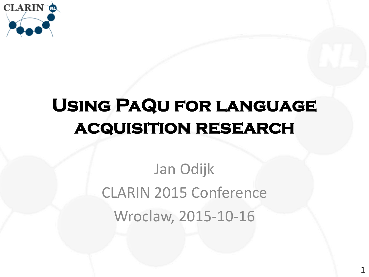

# **Using PaQu for language acquisition research**

Jan Odijk CLARIN 2015 Conference Wroclaw, 2015-10-16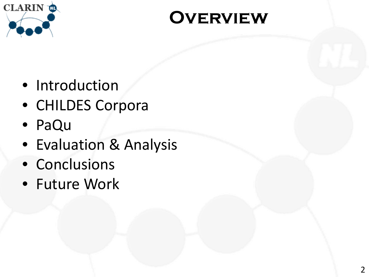

#### **Overview**

- Introduction
- CHILDES Corpora
- PaQu
- Evaluation & Analysis
- Conclusions
- Future Work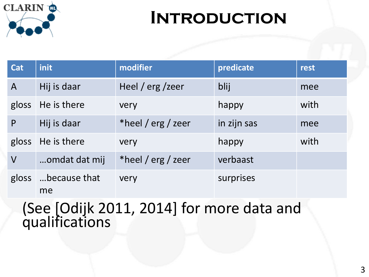

### **Introduction**

| <b>Cat</b>              | <i>init</i>              | modifier           | predicate   | rest |
|-------------------------|--------------------------|--------------------|-------------|------|
| $\mathsf{A}$            | Hij is daar              | Heel / $erg$ /zeer | blij        | mee  |
|                         | gloss He is there        | very               | happy       | with |
| P                       | Hij is daar              | *heel / erg / zeer | in zijn sas | mee  |
|                         | gloss He is there        | very               | happy       | with |
| $\overline{\mathsf{V}}$ | omdat dat mij            | *heel / erg / zeer | verbaast    |      |
|                         | gloss because that<br>me | very               | surprises   |      |

(See [Odijk 2011, 2014] for more data and qualifications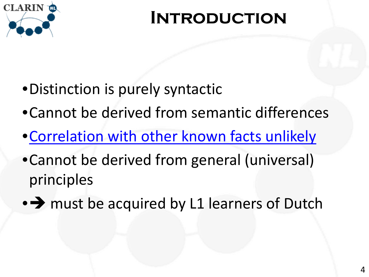

#### **Introduction**

- •Distinction is purely syntactic
- •Cannot be derived from semantic differences
- •[Correlation with other known facts unlikely](#page-24-0)
- •Cannot be derived from general (universal) principles
- $\rightarrow$  must be acquired by L1 learners of Dutch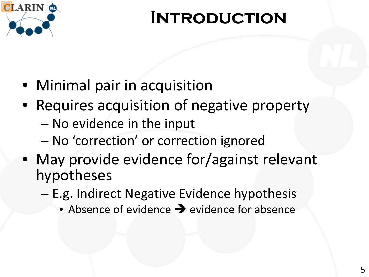

#### **Introduction**

- Minimal pair in acquisition
- Requires acquisition of negative property
	- No evidence in the input
	- No 'correction' or correction ignored
- May provide evidence for/against relevant hypotheses
	- E.g. Indirect Negative Evidence hypothesis
		- Absence of evidence  $\rightarrow$  evidence for absence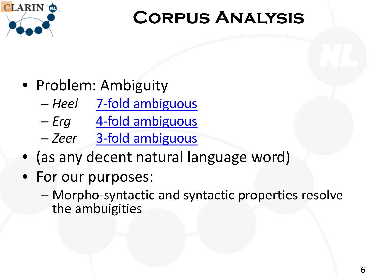<span id="page-5-0"></span>

## **Corpus Analysis**

- Problem: Ambiguity
	- *Heel* [7-fold ambiguous](#page-25-0)
	- *Erg* [4-fold ambiguous](#page-26-0)
	- *Zeer* [3-fold ambiguous](#page-27-0)
- (as any decent natural language word)
- For our purposes:
	- Morpho-syntactic and syntactic properties resolve the ambuigities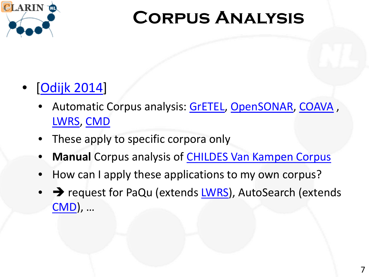

## **Corpus Analysis**

#### • [[Odijk 2014](http://www.clarin.nl/sites/default/files/Uilendag%20Odijk%20CLARIN-NL%202014-03-27.pptx)]

- Automatic Corpus analysis: [GrETEL,](http://portal.clarin.nl/node/1967) [OpenSONAR](http://portal.clarin.nl/node/4195), [COAVA](http://portal.clarin.nl/node/1928), [LWRS,](http://dev.clarin.nl/node/1966) [CMD](http://chn.inl.nl/)
- These apply to specific corpora only
- **Manual** Corpus analysis of [CHILDES Van Kampen Corpus](https://vlo.clarin.eu/search?q=CHILDES+Van+Kampen)
- How can I apply these applications to my own corpus?
- $\rightarrow$  request for PaQu (extends [LWRS](http://dev.clarin.nl/node/1966)), AutoSearch (extends [CMD\)](http://chn.inl.nl/), …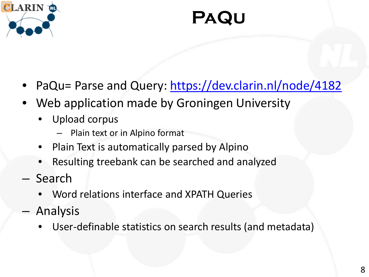

### **PaQu**

- PaQu= Parse and Query:<https://dev.clarin.nl/node/4182>
- Web application made by Groningen University
	- Upload corpus
		- Plain text or in Alpino format
	- Plain Text is automatically parsed by Alpino
	- Resulting treebank can be searched and analyzed
- Search
	- Word relations interface and XPATH Queries
- Analysis
	- User-definable statistics on search results (and metadata)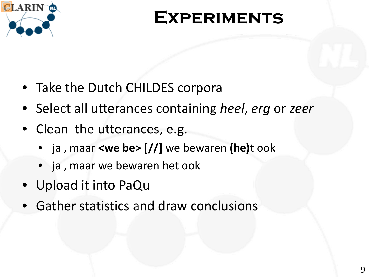

#### **Experiments**

- Take the Dutch CHILDES corpora
- Select all utterances containing *heel*, *erg* or *zeer*
- Clean the utterances, e.g.
	- ja , maar **<we be> [//]** we bewaren **(he)**t ook
	- ja , maar we bewaren het ook
- Upload it into PaQu
- Gather statistics and draw conclusions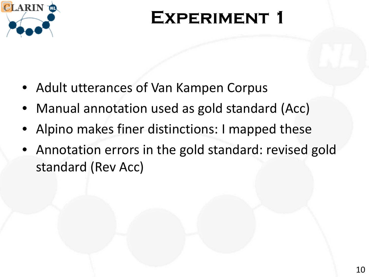

## **Experiment 1**

- Adult utterances of Van Kampen Corpus
- Manual annotation used as gold standard (Acc)
- Alpino makes finer distinctions: I mapped these
- Annotation errors in the gold standard: revised gold standard (Rev Acc)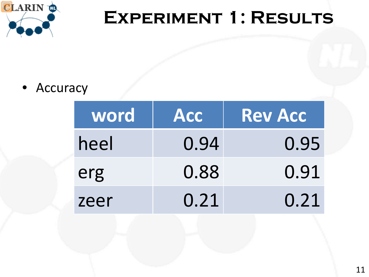

## EXPERIMENT 1: RESULTS

#### • Accuracy

| word | <b>Acc</b> | <b>Rev Acc</b> |
|------|------------|----------------|
| heel | 0.94       | 0.95           |
| erg  | 0.88       | 0.91           |
| zeer | 0.21       | 0.21           |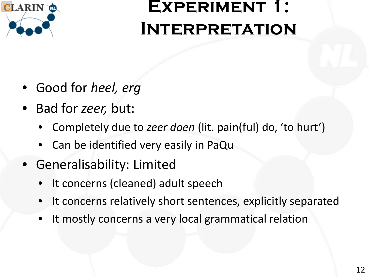

- Good for *heel, erg*
- Bad for *zeer,* but:
	- Completely due to *zeer doen* (lit. pain(ful) do, 'to hurt')
	- Can be identified very easily in PaQu
- Generalisability: Limited
	- It concerns (cleaned) adult speech
	- It concerns relatively short sentences, explicitly separated
	- It mostly concerns a very local grammatical relation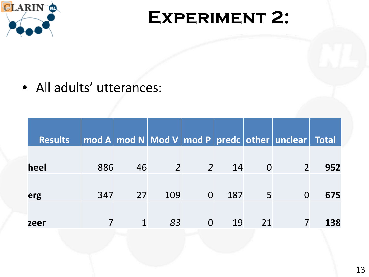

#### **Experiment 2:**

• All adults' utterances:

| <b>Results</b> |     |    |                |                |      |          | $\boxed{\sf mod\ A\lceil\sf mod\ N\rceil\sf Mod\ V\rceil}$ $\mod$ <code>P <math>\boxed{\sf predc\lceil\sf other\rceil\; under\lceil\!\!\!\lceil}</math> Total</code> $\boxed{\phantom{\bullet}}$ |     |
|----------------|-----|----|----------------|----------------|------|----------|--------------------------------------------------------------------------------------------------------------------------------------------------------------------------------------------------|-----|
|                |     |    |                |                |      |          |                                                                                                                                                                                                  |     |
| heel           | 886 | 46 | $\overline{2}$ |                | 2 14 | <b>O</b> |                                                                                                                                                                                                  | 952 |
|                |     |    |                |                |      |          |                                                                                                                                                                                                  |     |
| erg            | 347 | 27 | 109            | $\overline{0}$ | 187  | 5        | O                                                                                                                                                                                                | 675 |
|                |     |    |                |                |      |          |                                                                                                                                                                                                  |     |
| zeer           |     |    | 83             | $\Omega$       | 19   | 21       |                                                                                                                                                                                                  | 138 |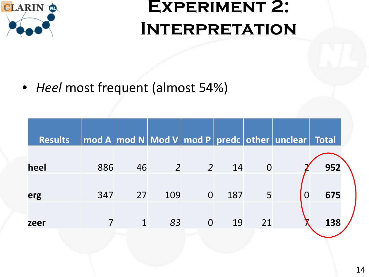

• *Heel* most frequent (almost 54%)

| <b>Results</b> |     |    |     |                |     |    | $\mid$ mod A $\mid$ mod N $\mid$ Mod V $\mid$ mod P $\mid$ predc $\mid$ other $\mid$ unclear $\mid$ | Total |  |
|----------------|-----|----|-----|----------------|-----|----|-----------------------------------------------------------------------------------------------------|-------|--|
|                |     |    |     |                |     |    |                                                                                                     |       |  |
| heel           | 886 | 46 | 2   | $\overline{2}$ | 14  |    |                                                                                                     | 952   |  |
|                |     |    |     |                |     |    |                                                                                                     |       |  |
| erg            | 347 | 27 | 109 |                | 187 | 5  | $\Omega$                                                                                            | 675   |  |
|                |     |    |     |                |     |    |                                                                                                     |       |  |
| zeer           |     |    | 83  |                | 19  | 21 |                                                                                                     | 138   |  |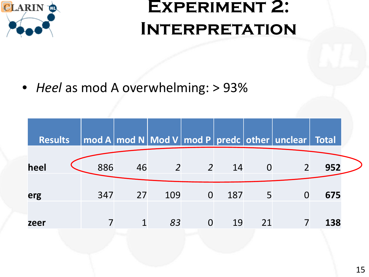

• *Heel* as mod A overwhelming: > 93%

| <b>Results</b> |     |    |     |                |     |                | mod A   mod N   Mod V   mod P   predc   other   unclear | Total |  |
|----------------|-----|----|-----|----------------|-----|----------------|---------------------------------------------------------|-------|--|
|                |     |    |     |                |     |                |                                                         |       |  |
| heel           | 886 | 46 | 2   | $\overline{2}$ | 14  | $\overline{0}$ | $\overline{2}$                                          | 952   |  |
| erg            | 347 | 27 | 109 | $\overline{0}$ | 187 | 5              | 0                                                       | 675   |  |
| zeer           |     |    | 83  | $\overline{0}$ | 19  | 21             |                                                         | 138   |  |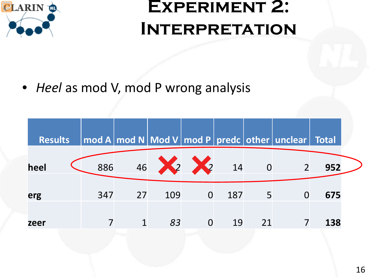

• *Heel* as mod V, mod P wrong analysis

| <b>Results</b> |     |    |               |                |     |    | $\mid$ mod A $\mid$ mod N $\mid$ Mod V $\mid$ mod P $\mid$ predc $\mid$ other $\mid$ unclear $\mid$ Total |     |  |
|----------------|-----|----|---------------|----------------|-----|----|-----------------------------------------------------------------------------------------------------------|-----|--|
| heel           | 886 |    | 46 22 22 14 0 |                |     |    |                                                                                                           | 952 |  |
| erg            | 347 | 27 | 109           | $\overline{0}$ | 187 | 5  |                                                                                                           | 675 |  |
| zeer           |     |    | 83            | $\overline{0}$ | 19  | 21 |                                                                                                           | 138 |  |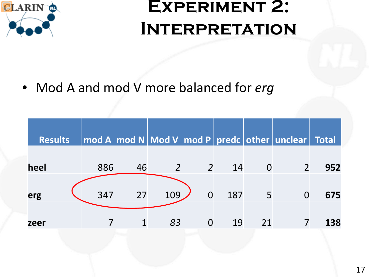

• Mod A and mod V more balanced for *erg*

| <b>Results</b> |     |    |            |                |      |                | $\boxed{\mod A\vert \mathbf{mod}\ \mathsf{N}\vert\mathsf{Mod}\ \mathsf{V}\vert \mathsf{mod}\ \mathsf{P}\vert}$ predc $\boxed{\mathsf{other}\vert \mathsf{unclear}\vert\ \mathsf{Total}\ \vert}$ |     |
|----------------|-----|----|------------|----------------|------|----------------|-------------------------------------------------------------------------------------------------------------------------------------------------------------------------------------------------|-----|
|                |     |    |            |                |      |                |                                                                                                                                                                                                 |     |
| heel           | 886 | 46 | $\sqrt{2}$ | $\overline{2}$ | 14   | $\overline{0}$ |                                                                                                                                                                                                 | 952 |
|                |     |    |            |                |      |                |                                                                                                                                                                                                 |     |
| erg            | 347 | 27 | 109        | $\overline{0}$ | 187  | $-5$           |                                                                                                                                                                                                 | 675 |
|                |     |    |            |                |      |                |                                                                                                                                                                                                 |     |
| zeer           |     |    | 83         | $\Omega$       | - 19 | 21             |                                                                                                                                                                                                 | 138 |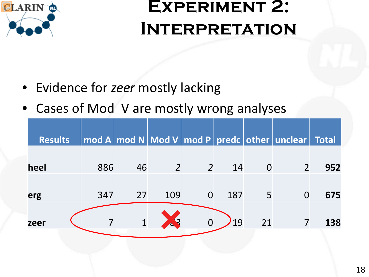

- Evidence for *zeer* mostly lacking
- Cases of Mod V are mostly wrong analyses

| <b>Total</b> |
|--------------|
|              |
| 952          |
|              |
| 675          |
|              |
| 138          |
|              |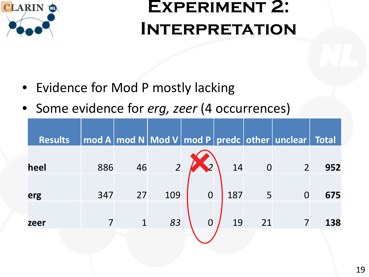

- Evidence for Mod P mostly lacking
- Some evidence for *erg, zeer* (4 occurrences)

| <b>Results</b> |     |    |                |                |     |                | $\mid$ mod A $\mid$ mod N $\mid$ Mod V $\mid$ mod P $\mid$ predc $\mid$ other $\mid$ unclear $\mid$ Total |     |
|----------------|-----|----|----------------|----------------|-----|----------------|-----------------------------------------------------------------------------------------------------------|-----|
|                |     |    |                |                |     |                |                                                                                                           |     |
| heel           | 886 | 46 | $\overline{2}$ | $\mathcal{D}$  | 14  | $\overline{O}$ | $\overline{2}$                                                                                            | 952 |
|                |     |    |                |                |     |                |                                                                                                           |     |
| erg            | 347 | 27 | 109            | $\overline{0}$ | 187 | 5              |                                                                                                           | 675 |
|                |     |    |                |                |     |                |                                                                                                           |     |
| zeer           |     |    | 83             | $\overline{0}$ | 19  | 21             |                                                                                                           | 138 |
|                |     |    |                |                |     |                |                                                                                                           |     |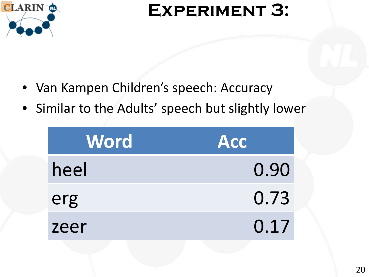

#### **EXPERIMENT 3:**

- Van Kampen Children's speech: Accuracy
- Similar to the Adults' speech but slightly lower

| <b>Word</b> | Acc  |
|-------------|------|
| heel        | 0.90 |
| erg         | 0.73 |
| zeer        | 0.17 |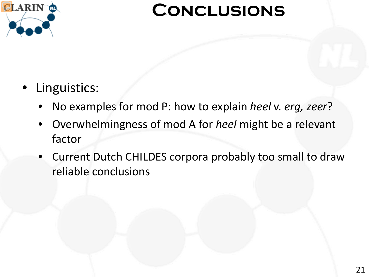

#### **Conclusions**

#### Linguistics:

- No examples for mod P: how to explain *heel* v. *erg, zeer*?
- Overwhelmingness of mod A for *heel* might be a relevant factor
- Current Dutch CHILDES corpora probably too small to draw reliable conclusions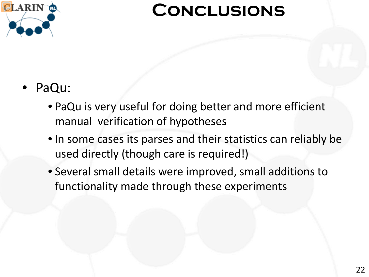

#### **Conclusions**

#### • PaQu:

- PaQu is very useful for doing better and more efficient manual verification of hypotheses
- In some cases its parses and their statistics can reliably be used directly (though care is required!)
- Several small details were improved, small additions to functionality made through these experiments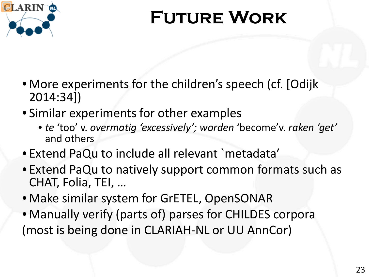

# **Future Work**

- More experiments for the children's speech (cf. [Odijk] 2014:34])
- Similar experiments for other examples
	- *te* 'too' v. *overmatig 'excessively'; worden* 'become'v. *raken 'get'*  and others
- Extend PaQu to include all relevant `metadata'
- Extend PaQu to natively support common formats such as CHAT, Folia, TEI, …
- Make similar system for GrETEL, OpenSONAR
- Manually verify (parts of) parses for CHILDES corpora (most is being done in CLARIAH-NL or UU AnnCor)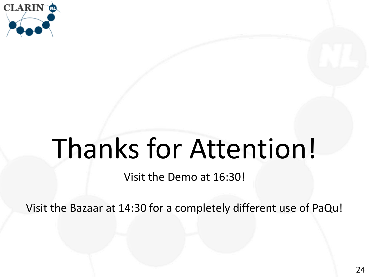

# Thanks for Attention!

Visit the Demo at 16:30!

Visit the Bazaar at 14:30 for a completely different use of PaQu!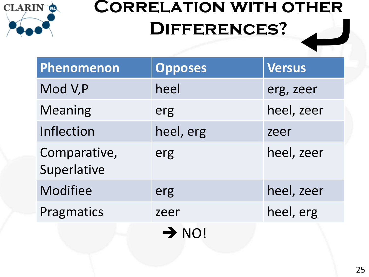<span id="page-24-0"></span>

# **Correlation with other Differences?**

| Phenomenon                  | <b>Opposes</b>    | <b>Versus</b> |
|-----------------------------|-------------------|---------------|
| Mod V,P                     | heel              | erg, zeer     |
| <b>Meaning</b>              | erg               | heel, zeer    |
| Inflection                  | heel, erg         | zeer          |
| Comparative,<br>Superlative | erg               | heel, zeer    |
| <b>Modifiee</b>             | erg               | heel, zeer    |
| Pragmatics                  | zeer              | heel, erg     |
|                             | $\rightarrow$ NO! |               |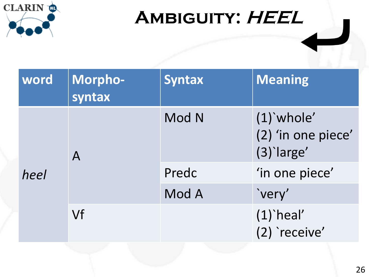<span id="page-25-0"></span>

# AMBIGUITY: HEEL

| word | Morpho-<br>syntax | <b>Syntax</b> | <b>Meaning</b>                                   |
|------|-------------------|---------------|--------------------------------------------------|
|      | $\mathsf{A}$      | Mod N         | $(1)$ whole'<br>(2) 'in one piece'<br>(3) large' |
| heel |                   | Predc         | 'in one piece'                                   |
|      |                   | Mod A         | `very'                                           |
|      | Vf                |               | $(1)$ `heal'<br>(2) receive'                     |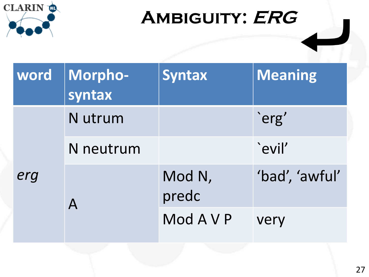<span id="page-26-0"></span>

# AMBIGUITY: ERG

| word | Morpho-<br>syntax | <b>Syntax</b>   | Meaning        |
|------|-------------------|-----------------|----------------|
| erg  | N utrum           |                 | `erg'          |
|      | N neutrum         |                 | `evil'         |
|      |                   | Mod N,<br>predc | 'bad', 'awful' |
|      |                   | Mod A V P       | very           |